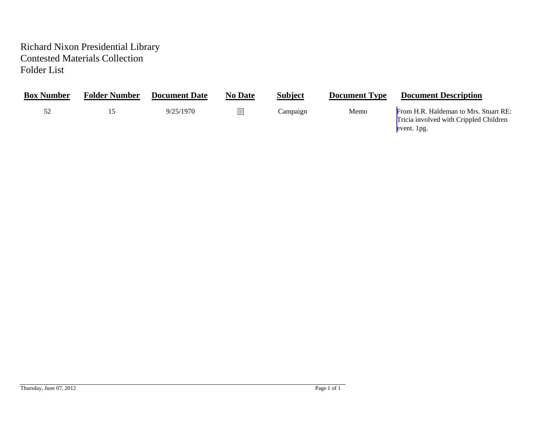## Richard Nixon Presidential Library Contested Materials Collection Folder List

| <b>Box Number</b> | <b>Folder Number</b> | <b>Document Date</b> | <b>No Date</b> | <b>Subject</b> | <b>Document Type</b> | <b>Document Description</b>                                                                    |
|-------------------|----------------------|----------------------|----------------|----------------|----------------------|------------------------------------------------------------------------------------------------|
|                   |                      | 9/25/1970            |                | Campaign       | Memo                 | From H.R. Haldeman to Mrs. Stuart RE:<br>Tricia involved with Crippled Children<br>event. 1pg. |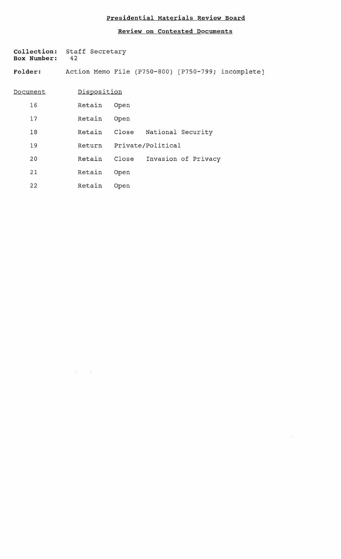## **Presidential Materials Review Board**

**Review on Contested Documents** 

 $\omega$ 

| <b>Box Number:</b> | Collection: Staff Secretary<br>42 |      |                                |                           |                                                    |
|--------------------|-----------------------------------|------|--------------------------------|---------------------------|----------------------------------------------------|
| <b>Folder:</b>     |                                   |      |                                |                           | Action Memo File (P750-800) [P750-799; incomplete] |
| Document           | Disposition                       |      |                                |                           |                                                    |
| 16                 | Retain                            | Open |                                |                           |                                                    |
| 17                 | Retain                            | Open |                                |                           |                                                    |
| 18                 |                                   |      | Retain Close National Security |                           |                                                    |
| 19                 |                                   |      | Return Private/Political       |                           |                                                    |
| 20                 | Retain                            |      |                                | Close Invasion of Privacy |                                                    |
| 21                 | Retain                            | Open |                                |                           |                                                    |
| 22                 | Retain                            | Open |                                |                           |                                                    |

 $\label{eq:1} \hat{X}^{(1)} = \hat{X}^{(1)}$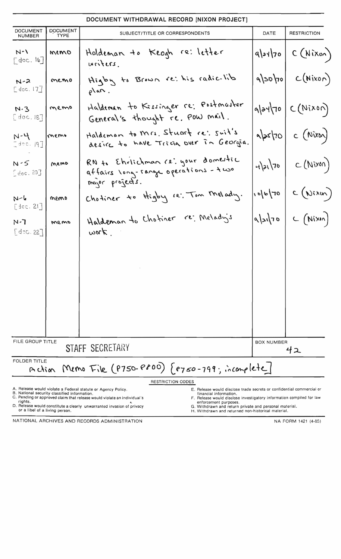| DOCUMENT WITHDRAWAL RECORD [NIXON PROJECT]                                 |                                              |                                                                                                                                                                                                                                                                                                                                                                         |                     |                         |  |  |  |  |
|----------------------------------------------------------------------------|----------------------------------------------|-------------------------------------------------------------------------------------------------------------------------------------------------------------------------------------------------------------------------------------------------------------------------------------------------------------------------------------------------------------------------|---------------------|-------------------------|--|--|--|--|
| <b>DOCUMENT</b><br><b>NUMBER</b>                                           | <b>DOCUMENT</b><br>TYPE                      | SUBJECT/TITLE OR CORRESPONDENTS                                                                                                                                                                                                                                                                                                                                         | DATE                | <b>RESTRICTION</b>      |  |  |  |  |
| $N - 1$<br>[dec.16]                                                        | memo                                         | Holdeman to Keogh re: letter<br>units.                                                                                                                                                                                                                                                                                                                                  |                     | $q 21 70$ C (Nixon)     |  |  |  |  |
| $N - 2$<br>[doc.17]                                                        | memo                                         | Higby to Brown re: his radic-lib<br>$\rho$ an.                                                                                                                                                                                                                                                                                                                          |                     | $q 30 00 $ $C(Nix00)$   |  |  |  |  |
| N.3<br>[dec.18]                                                            | memo                                         | Haldeman to Kissinger re: Postmaster<br>General's thought re. Pow mail.                                                                                                                                                                                                                                                                                                 |                     | $q a $ 70 $ C(Nix00) $  |  |  |  |  |
| $N - 4$<br>$[0.4 \text{ sec.}]$                                            | memo                                         | Haldeman to Mrs. Stuart re: suit's<br>desire to have Tricia over in Georgia.                                                                                                                                                                                                                                                                                            |                     | $\sqrt{ax/b}$ c (Nixon) |  |  |  |  |
| $N - 5$<br>$2doc. 20$ ]                                                    | Memo                                         | RN to Ehrlichman (2' your domestic<br>affairs long-range operations - two<br>major projects.                                                                                                                                                                                                                                                                            |                     | $-121/70$ $C(Nixon)$    |  |  |  |  |
| $N - h$<br>$[$ dcc. $21$ ]                                                 | memo                                         | Chotiner to Higby re: Tom Melady.                                                                                                                                                                                                                                                                                                                                       | 05/0/01             | C(Nixin)                |  |  |  |  |
| ר-א $\,$<br>[dec. 22]                                                      | memo                                         | Haldeman to Chotiner re: Melady's<br>work.                                                                                                                                                                                                                                                                                                                              | $\sqrt{2\sqrt{70}}$ | C(Nixn)                 |  |  |  |  |
|                                                                            |                                              |                                                                                                                                                                                                                                                                                                                                                                         |                     |                         |  |  |  |  |
|                                                                            |                                              |                                                                                                                                                                                                                                                                                                                                                                         |                     |                         |  |  |  |  |
| FILE GROUP TITLE                                                           | STAFF SECRETARY                              | <b>BOX NUMBER</b><br>イス                                                                                                                                                                                                                                                                                                                                                 |                     |                         |  |  |  |  |
| <b>FOLDER TITLE</b><br>Action Memo File (P750-P800) {P750-799; incomplete] |                                              |                                                                                                                                                                                                                                                                                                                                                                         |                     |                         |  |  |  |  |
| rights.                                                                    | B. National security classified information. | <b>RESTRICTION CODES</b><br>A. Release would violate a Federal statute or Agency Policy.<br>E. Release would disclose trade secrets or confidential commercial or<br>financial information.<br>C. Pending or approved claim that release would violate an individual's<br>F. Release would disclose investigatory information compiled for law<br>enforcement purposes. |                     |                         |  |  |  |  |

D. Release would constitute a clearly unwarranted invasion of privacy G. Withdrawn and return private and personal material. or a libel of a living person. Or a libel of a living person.

NATIONAL ARCHIVES AND RECORDS ADMINISTRATION **NATIONAL ARCHIVES** AND RECORDS ADMINISTRATION